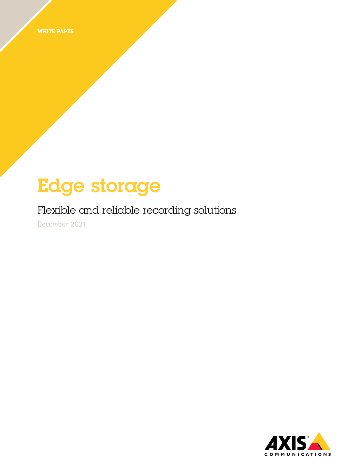WHITE PAPER

# Edge storage

### Flexible and reliable recording solutions

**December 2021**

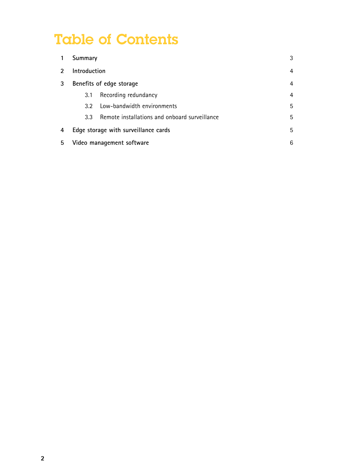## Table of Contents

|                | Summary                              |                                               | 3 |
|----------------|--------------------------------------|-----------------------------------------------|---|
| $\mathfrak{p}$ | Introduction                         |                                               | 4 |
| 3              | Benefits of edge storage             |                                               | 4 |
|                | 3.1                                  | Recording redundancy                          | 4 |
|                | 32 <sup>-</sup>                      | Low-bandwidth environments                    | 5 |
|                | 3.3 <sup>°</sup>                     | Remote installations and onboard surveillance | 5 |
| 4              | Edge storage with surveillance cards |                                               | 5 |
| 5              | Video management software            |                                               | 6 |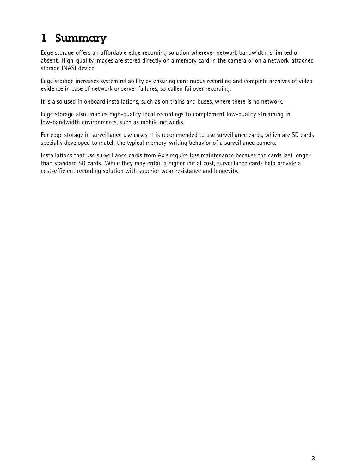### <span id="page-2-0"></span>1 Summary

Edge storage offers an affordable edge recording solution wherever network bandwidth is limited or absent. High-quality images are stored directly on <sup>a</sup> memory card in the camera or on <sup>a</sup> network-attached storage (NAS) device.

Edge storage increases system reliability by ensuring continuous recording and complete archives of video evidence in case of network or server failures, so called failover recording.

It is also used in onboard installations, such as on trains and buses, where there is no network.

Edge storage also enables high-quality local recordings to complement low-quality streaming in low-bandwidth environments, such as mobile networks.

For edge storage in surveillance use cases, it is recommended to use surveillance cards, which are SD cards specially developed to match the typical memory-writing behavior of <sup>a</sup> surveillance camera.

Installations that use surveillance cards from Axis require less maintenance because the cards last longer than standard SD cards. While they may entail <sup>a</sup> higher initial cost, surveillance cards help provide <sup>a</sup> cost-efficient recording solution with superior wear resistance and longevity.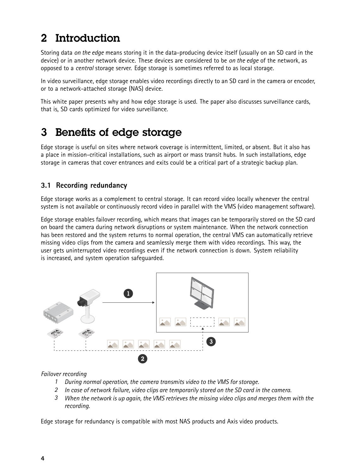### <span id="page-3-0"></span>2 Introduction

Storing data *on the edge* means storing it in the data-producing device itself (usually on an SD card in the device) or in another network device. These devices are considered to be *on the edge* of the network, as opposed to <sup>a</sup> *central* storage server. Edge storage is sometimes referred to as local storage.

In video surveillance, edge storage enables video recordings directly to an SD card in the camera or encoder, or to <sup>a</sup> network-attached storage (NAS) device.

This white paper presents why and how edge storage is used. The paper also discusses surveillance cards, that is, SD cards optimized for video surveillance.

### 3 Benefits of edge storage

Edge storage is useful on sites where network coverage is intermittent, limited, or absent. But it also has <sup>a</sup> place in mission-critical installations, such as airport or mass transit hubs. In such installations, edge storage in cameras that cover entrances and exits could be <sup>a</sup> critical part of <sup>a</sup> strategic backup plan.

#### **3.1 Recording redundancy**

Edge storage works as <sup>a</sup> complement to central storage. It can record video locally whenever the central system is not available or continuously record video in parallel with the VMS (video management software).

Edge storage enables failover recording, which means that images can be temporarily stored on the SD card on board the camera during network disruptions or system maintenance. When the network connection has been restored and the system returns to normal operation, the central VMS can automatically retrieve missing video clips from the camera and seamlessly merge them with video recordings. This way, the user gets uninterrupted video recordings even if the network connection is down. System reliability is increased, and system operation safeguarded.



#### *Failover recording*

- *1 During normal operation, the camera transmits video to the VMS for storage.*
- *2 In case of network failure, video clips are temporarily stored on the SD card in the camera.*
- 3 When the network is up again, the VMS retrieves the missing video clips and merges them with the *recording.*

Edge storage for redundancy is compatible with most NAS products and Axis video products.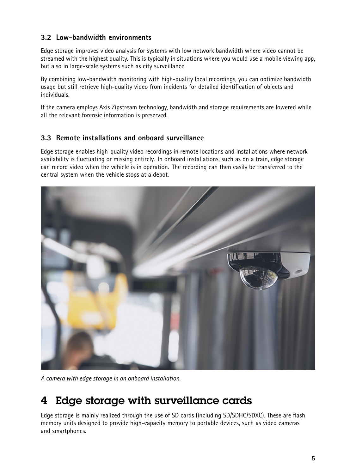#### <span id="page-4-0"></span>**3.2 Low-bandwidth environments**

Edge storage improves video analysis for systems with low network bandwidth where video cannot be streamed with the highest quality. This is typically in situations where you would use <sup>a</sup> mobile viewing app, but also in large-scale systems such as city surveillance.

By combining low-bandwidth monitoring with high-quality local recordings, you can optimize bandwidth usage but still retrieve high-quality video from incidents for detailed identification of objects and individuals.

If the camera employs Axis Zipstream technology, bandwidth and storage requirements are lowered while all the relevant forensic information is preserved.

#### **3.3 Remote installations and onboard surveillance**

Edge storage enables high-quality video recordings in remote locations and installations where network availability is fluctuating or missing entirely. In onboard installations, such as on <sup>a</sup> train, edge storage can record video when the vehicle is in operation. The recording can then easily be transferred to the central system when the vehicle stops at <sup>a</sup> depot.



*A camera with edge storage in an onboard installation.*

### 4 Edge storage with surveillance cards

Edge storage is mainly realized through the use of SD cards (including SD/SDHC/SDXC). These are flash memory units designed to provide high-capacity memory to portable devices, such as video cameras and smartphones.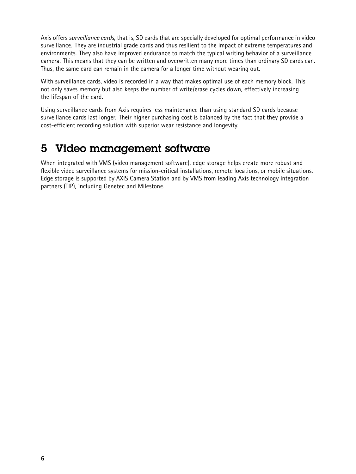<span id="page-5-0"></span>Axis offers *surveillance cards*, that is, SD cards that are specially developed for optimal performance in video surveillance. They are industrial grade cards and thus resilient to the impact of extreme temperatures and environments. They also have improved endurance to match the typical writing behavior of <sup>a</sup> surveillance camera. This means that they can be written and overwritten many more times than ordinary SD cards can. Thus, the same card can remain in the camera for <sup>a</sup> longer time without wearing out.

With surveillance cards, video is recorded in <sup>a</sup> way that makes optimal use of each memory block. This not only saves memory but also keeps the number of write/erase cycles down, effectively increasing the lifespan of the card.

Using surveillance cards from Axis requires less maintenance than using standard SD cards because surveillance cards last longer. Their higher purchasing cost is balanced by the fact that they provide <sup>a</sup> cost-efficient recording solution with superior wear resistance and longevity.

### 5 Video management software

When integrated with VMS (video management software), edge storage helps create more robust and flexible video surveillance systems for mission-critical installations, remote locations, or mobile situations. Edge storage is supported by AXIS Camera Station and by VMS from leading Axis technology integration partners (TIP), including Genetec and Milestone.